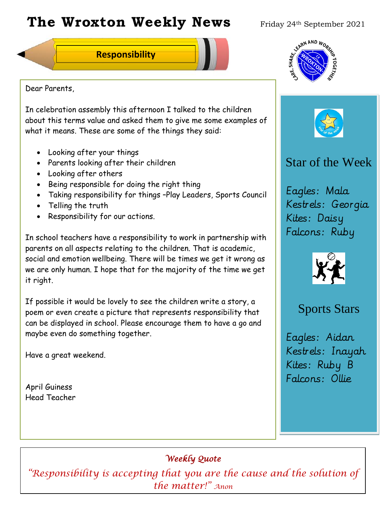# **The Wroxton Weekly News** Friday 24th September 2021

**Responsibility**

Dear Parents,

In celebration assembly this afternoon I talked to the children about this terms value and asked them to give me some examples of what it means. These are some of the things they said:

- Looking after your things
- Parents looking after their children
- Looking after others
- Being responsible for doing the right thing
- Taking responsibility for things –Play Leaders, Sports Council
- Telling the truth
- Responsibility for our actions.

In school teachers have a responsibility to work in partnership with parents on all aspects relating to the children. That is academic, social and emotion wellbeing. There will be times we get it wrong as we are only human. I hope that for the majority of the time we get it right.

If possible it would be lovely to see the children write a story, a poem or even create a picture that represents responsibility that can be displayed in school. Please encourage them to have a go and maybe even do something together.

Have a great weekend.

April Guiness Head Teacher





# Star of the Week

Eagles: Mala Kestrels: Georgia Kites: Daisy Falcons: Ruby



# Sports Stars

Eagles: Aidan Kestrels: Inayah Kites: Ruby B Falcons: Ollie

*Terry Brooks*

# *Weekly Quote*

 $\emph{``Responsibility is accepting that you are the cause and the solution of ``Responsibility is accepting that you are the cause and the solution of ``Reson's condition''.}$ **Fall Festival Teacher Day** *the matter!" Anon*